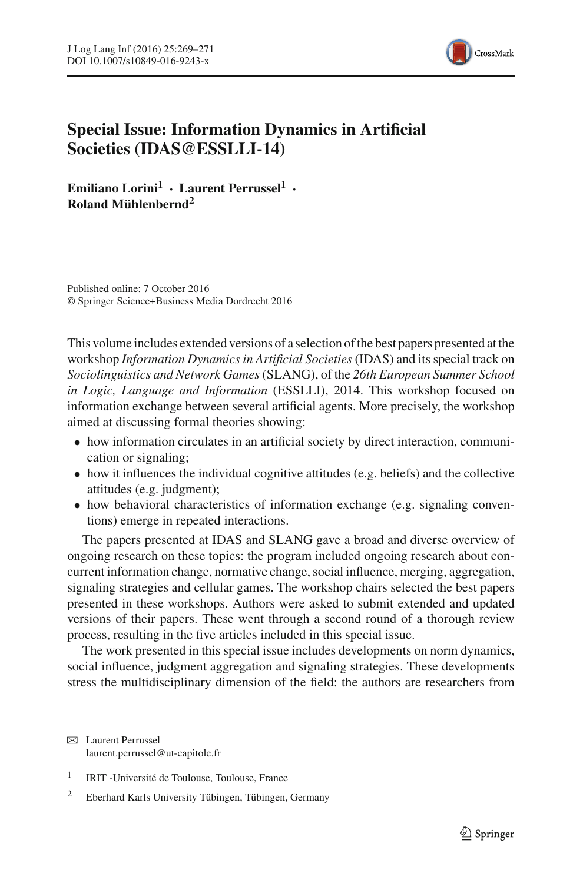

## **Special Issue: Information Dynamics in Artificial Societies (IDAS@ESSLLI-14)**

**Emiliano Lorini<sup>1</sup> · Laurent Perrussel<sup>1</sup> · Roland Mühlenbernd2**

Published online: 7 October 2016 © Springer Science+Business Media Dordrecht 2016

This volume includes extended versions of a selection of the best papers presented at the workshop *Information Dynamics in Artificial Societies* (IDAS) and its special track on *Sociolinguistics and Network Games* (SLANG), of the *26th European Summer School in Logic, Language and Information* (ESSLLI), 2014. This workshop focused on information exchange between several artificial agents. More precisely, the workshop aimed at discussing formal theories showing:

- how information circulates in an artificial society by direct interaction, communication or signaling;
- how it influences the individual cognitive attitudes (e.g. beliefs) and the collective attitudes (e.g. judgment);
- how behavioral characteristics of information exchange (e.g. signaling conventions) emerge in repeated interactions.

The papers presented at IDAS and SLANG gave a broad and diverse overview of ongoing research on these topics: the program included ongoing research about concurrent information change, normative change, social influence, merging, aggregation, signaling strategies and cellular games. The workshop chairs selected the best papers presented in these workshops. Authors were asked to submit extended and updated versions of their papers. These went through a second round of a thorough review process, resulting in the five articles included in this special issue.

The work presented in this special issue includes developments on norm dynamics, social influence, judgment aggregation and signaling strategies. These developments stress the multidisciplinary dimension of the field: the authors are researchers from

B Laurent Perrussel laurent.perrussel@ut-capitole.fr

<sup>&</sup>lt;sup>1</sup> IRIT -Université de Toulouse, Toulouse, France

<sup>2</sup> Eberhard Karls University Tübingen, Tübingen, Germany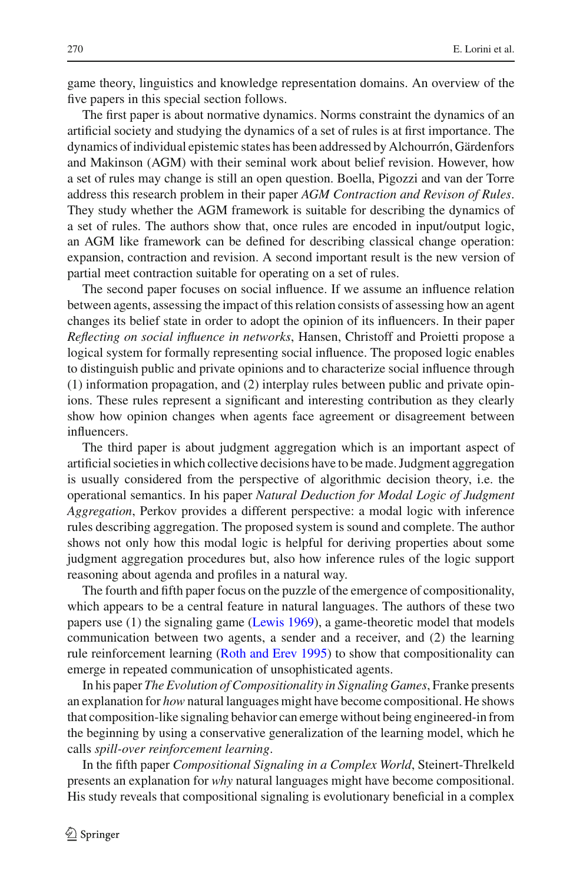game theory, linguistics and knowledge representation domains. An overview of the five papers in this special section follows.

The first paper is about normative dynamics. Norms constraint the dynamics of an artificial society and studying the dynamics of a set of rules is at first importance. The dynamics of individual epistemic states has been addressed by Alchourrón, Gärdenfors and Makinson (AGM) with their seminal work about belief revision. However, how a set of rules may change is still an open question. Boella, Pigozzi and van der Torre address this research problem in their paper *AGM Contraction and Revison of Rules*. They study whether the AGM framework is suitable for describing the dynamics of a set of rules. The authors show that, once rules are encoded in input/output logic, an AGM like framework can be defined for describing classical change operation: expansion, contraction and revision. A second important result is the new version of partial meet contraction suitable for operating on a set of rules.

The second paper focuses on social influence. If we assume an influence relation between agents, assessing the impact of this relation consists of assessing how an agent changes its belief state in order to adopt the opinion of its influencers. In their paper *Reflecting on social influence in networks*, Hansen, Christoff and Proietti propose a logical system for formally representing social influence. The proposed logic enables to distinguish public and private opinions and to characterize social influence through (1) information propagation, and (2) interplay rules between public and private opinions. These rules represent a significant and interesting contribution as they clearly show how opinion changes when agents face agreement or disagreement between influencers.

The third paper is about judgment aggregation which is an important aspect of artificial societies in which collective decisions have to be made. Judgment aggregation is usually considered from the perspective of algorithmic decision theory, i.e. the operational semantics. In his paper *Natural Deduction for Modal Logic of Judgment Aggregation*, Perkov provides a different perspective: a modal logic with inference rules describing aggregation. The proposed system is sound and complete. The author shows not only how this modal logic is helpful for deriving properties about some judgment aggregation procedures but, also how inference rules of the logic support reasoning about agenda and profiles in a natural way.

The fourth and fifth paper focus on the puzzle of the emergence of compositionality, which appears to be a central feature in natural languages. The authors of these two papers use (1) the signaling game [\(Lewis 1969\)](#page-2-0), a game-theoretic model that models communication between two agents, a sender and a receiver, and (2) the learning rule reinforcement learning [\(Roth and Erev 1995\)](#page-2-1) to show that compositionality can emerge in repeated communication of unsophisticated agents.

In his paper *The Evolution of Compositionality in Signaling Games*, Franke presents an explanation for *how* natural languages might have become compositional. He shows that composition-like signaling behavior can emerge without being engineered-in from the beginning by using a conservative generalization of the learning model, which he calls *spill-over reinforcement learning*.

In the fifth paper *Compositional Signaling in a Complex World*, Steinert-Threlkeld presents an explanation for *why* natural languages might have become compositional. His study reveals that compositional signaling is evolutionary beneficial in a complex